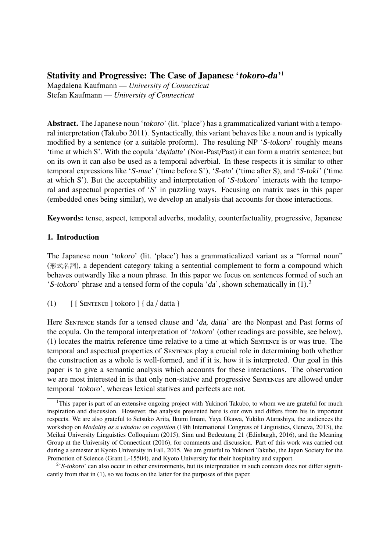# Stativity and Progressive: The Case of Japanese 'tokoro-da'<sup>1</sup>

Magdalena Kaufmann — *University of Connecticut* Stefan Kaufmann — *University of Connecticut*

Abstract. The Japanese noun 'tokoro' (lit. 'place') has a grammaticalized variant with a temporal interpretation (Takubo 2011). Syntactically, this variant behaves like a noun and is typically modified by a sentence (or a suitable proform). The resulting NP 'S-tokoro' roughly means 'time at which S'. With the copula 'da/datta' (Non-Past/Past) it can form a matrix sentence; but on its own it can also be used as a temporal adverbial. In these respects it is similar to other temporal expressions like 'S-mae' ('time before S'), 'S-ato' ('time after S), and 'S-toki' ('time at which S'). But the acceptability and interpretation of 'S-tokoro' interacts with the temporal and aspectual properties of 'S' in puzzling ways. Focusing on matrix uses in this paper (embedded ones being similar), we develop an analysis that accounts for those interactions.

Keywords: tense, aspect, temporal adverbs, modality, counterfactuality, progressive, Japanese

# 1. Introduction

The Japanese noun 'tokoro' (lit. 'place') has a grammaticalized variant as a "formal noun" ( 形式名詞 ), a dependent category taking a sentential complement to form a compound which behaves outwardly like a noun phrase. In this paper we focus on sentences formed of such an 'S-tokoro' phrase and a tensed form of the copula 'da', shown schematically in  $(1)$ .<sup>2</sup>

(1)  $\lceil$  [ SENTENCE ] tokoro  $\lceil$  { da / datta }

Here SENTENCE stands for a tensed clause and 'da, datta' are the Nonpast and Past forms of the copula. On the temporal interpretation of 'tokoro' (other readings are possible, see below), (1) locates the matrix reference time relative to a time at which Sentence is or was true. The temporal and aspectual properties of Sentence play a crucial role in determining both whether the construction as a whole is well-formed, and if it is, how it is interpreted. Our goal in this paper is to give a semantic analysis which accounts for these interactions. The observation we are most interested in is that only non-stative and progressive Sentences are allowed under temporal 'tokoro', whereas lexical statives and perfects are not.

<sup>&</sup>lt;sup>1</sup>This paper is part of an extensive ongoing project with Yukinori Takubo, to whom we are grateful for much inspiration and discussion. However, the analysis presented here is our own and differs from his in important respects. We are also grateful to Setsuko Arita, Ikumi Imani, Yuya Okawa, Yukiko Atarashiya, the audiences the workshop on *Modality as a window on cognition* (19th International Congress of Linguistics, Geneva, 2013), the Meikai University Linguistics Colloquium (2015), Sinn und Bedeutung 21 (Edinburgh, 2016), and the Meaning Group at the University of Connecticut (2016), for comments and discussion. Part of this work was carried out during a semester at Kyoto University in Fall, 2015. We are grateful to Yukinori Takubo, the Japan Society for the Promotion of Science (Grant L-15504), and Kyoto University for their hospitality and support.

 $2's$ -tokoro' can also occur in other environments, but its interpretation in such contexts does not differ significantly from that in (1), so we focus on the latter for the purposes of this paper.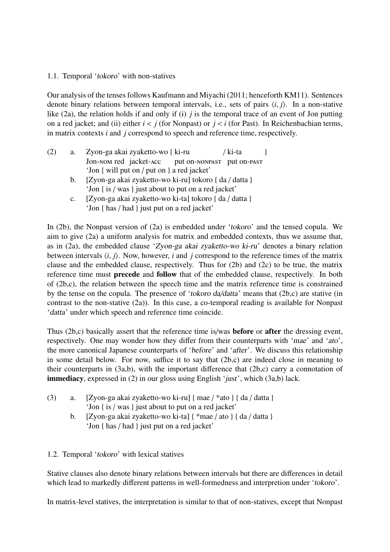# 1.1. Temporal 'tokoro' with non-statives

Our analysis of the tenses follows Kaufmann and Miyachi (2011; henceforth KM11). Sentences denote binary relations between temporal intervals, i.e., sets of pairs  $\langle i, j \rangle$ . In a non-stative like (2a), the relation holds if and only if (i) *j* is the temporal trace of an event of Jon putting on a red jacket; and (ii) either  $i < j$  (for Nonpast) or  $j < i$  (for Past). In Reichenbachian terms, in matrix contexts *i* and *j* correspond to speech and reference time, respectively.

- (2) a. Zyon-ga akai zyaketto-wo { ki-ru Jon-nom red jacket-acc put on-nonpast put on-past / ki-ta } 'Jon { will put on / put on } a red jacket'
	- b. [Zyon-ga akai zyaketto-wo ki-ru] tokoro { da / datta } 'Jon { is / was } just about to put on a red jacket'
	- c. [Zyon-ga akai zyaketto-wo ki-ta] tokoro { da / datta } 'Jon { has / had } just put on a red jacket'

In (2b), the Nonpast version of (2a) is embedded under 'tokoro' and the tensed copula. We aim to give (2a) a uniform analysis for matrix and embedded contexts, thus we assume that, as in (2a), the embedded clause 'Zyon-ga akai zyaketto-wo ki-ru' denotes a binary relation between intervals  $\langle i, j \rangle$ . Now, however, *i* and *j* correspond to the reference times of the matrix clause and the embedded clause, respectively. Thus for (2b) and (2c) to be true, the matrix reference time must precede and follow that of the embedded clause, respectively. In both of (2b,c), the relation between the speech time and the matrix reference time is constrained by the tense on the copula. The presence of 'tokoro da/datta' means that (2b,c) are stative (in contrast to the non-stative (2a)). In this case, a co-temporal reading is available for Nonpast 'datta' under which speech and reference time coincide.

Thus (2b,c) basically assert that the reference time is/was before or after the dressing event, respectively. One may wonder how they differ from their counterparts with 'mae' and 'ato', the more canonical Japanese counterparts of 'before' and 'after'. We discuss this relationship in some detail below. For now, suffice it to say that (2b,c) are indeed close in meaning to their counterparts in (3a,b), with the important difference that (2b,c) carry a connotation of immediacy, expressed in (2) in our gloss using English 'just', which (3a,b) lack.

- (3) a. [Zyon-ga akai zyaketto-wo ki-ru] { mae / \*ato } { da / datta } 'Jon { is / was } just about to put on a red jacket'
	- b. [Zyon-ga akai zyaketto-wo ki-ta]  $\{ *mae / ato \}$   $\{ da / data \}$ 'Jon { has / had } just put on a red jacket'

# 1.2. Temporal 'tokoro' with lexical statives

Stative clauses also denote binary relations between intervals but there are differences in detail which lead to markedly different patterns in well-formedness and interpretion under 'tokoro'.

In matrix-level statives, the interpretation is similar to that of non-statives, except that Nonpast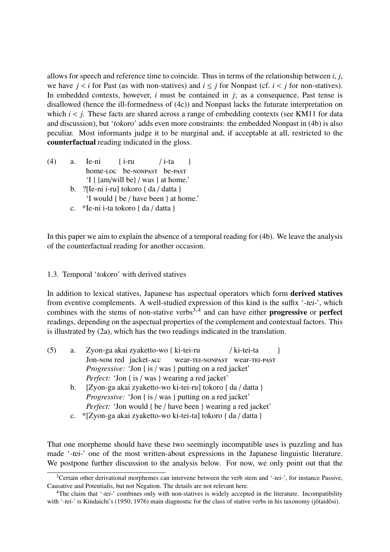allows for speech and reference time to coincide. Thus in terms of the relationship between *<sup>i</sup>*, *<sup>j</sup>*, we have  $j < i$  for Past (as with non-statives) and  $i \leq j$  for Nonpast (cf.  $i < j$  for non-statives). In embedded contexts, however, *i* must be contained in *j*; as a consequence, Past tense is disallowed (hence the ill-formedness of (4c)) and Nonpast lacks the futurate interpretation on which  $i < j$ . These facts are shared across a range of embedding contexts (see KM11 for data and discussion), but 'tokoro' adds even more constraints: the embedded Nonpast in (4b) is also peculiar. Most informants judge it to be marginal and, if acceptable at all, restricted to the counterfactual reading indicated in the gloss.

- (4) a. Ie-ni home-Loc be-NONPAST be-PAST  $\{$  i-ru / i-ta } 'I { {am/will be} / was } at home.'
	- b. ?[Ie-ni i-ru] tokoro { da / datta } 'I would { be / have been } at home.'
	- c. \*Ie-ni i-ta tokoro { da / datta }

In this paper we aim to explain the absence of a temporal reading for (4b). We leave the analysis of the counterfactual reading for another occasion.

# 1.3. Temporal 'tokoro' with derived statives

In addition to lexical statives, Japanese has aspectual operators which form derived statives from eventive complements. A well-studied expression of this kind is the suffix '-tei-', which combines with the stems of non-stative verbs<sup>3,4</sup> and can have either **progressive** or **perfect** readings, depending on the aspectual properties of the complement and contextual factors. This is illustrated by (2a), which has the two readings indicated in the translation.

- (5) a. Zyon-ga akai zyaketto-wo { ki-tei-ru Jon-Nom red jacket-Acc wear-tei-nonpast wear-tei-past / ki-tei-ta } *Progressive:* 'Jon { is / was } putting on a red jacket' *Perfect:* 'Jon { is / was } wearing a red jacket'
	- b. [Zyon-ga akai zyaketto-wo ki-tei-ru] tokoro { da / datta } *Progressive:* 'Jon { is / was } putting on a red jacket' *Perfect:* 'Jon would { be / have been } wearing a red jacket'
	- c. \*[Zyon-ga akai zyaketto-wo ki-tei-ta] tokoro { da / datta }

That one morpheme should have these two seemingly incompatible uses is puzzling and has made '-tei-' one of the most written-about expressions in the Japanese linguistic literature. We postpone further discussion to the analysis below. For now, we only point out that the

 $3$ Certain other derivational morphemes can intervene between the verb stem and '-tei-', for instance Passive, Causative and Potentialis, but not Negation. The details are not relevant here.

<sup>&</sup>lt;sup>4</sup>The claim that '-tei-' combines only with non-statives is widely accepted in the literature. Incompatibility with '-tei-' is Kindaichi's (1950; 1976) main diagnostic for the class of stative verbs in his taxonomy (jôtaidôsi).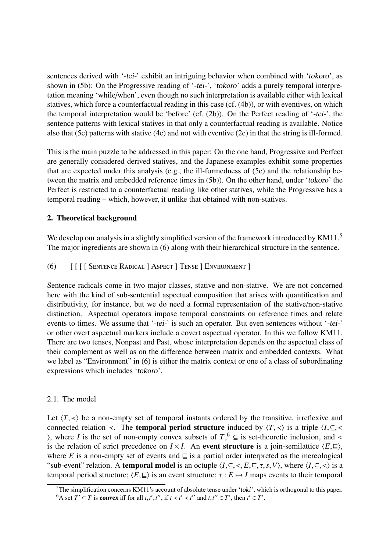sentences derived with '-tei-' exhibit an intriguing behavior when combined with 'tokoro', as shown in (5b): On the Progressive reading of '-tei-', 'tokoro' adds a purely temporal interpretation meaning 'while/when', even though no such interpretation is available either with lexical statives, which force a counterfactual reading in this case (cf. (4b)), or with eventives, on which the temporal interpretation would be 'before' (cf. (2b)). On the Perfect reading of '-tei-', the sentence patterns with lexical statives in that only a counterfactual reading is available. Notice also that (5c) patterns with stative (4c) and not with eventive (2c) in that the string is ill-formed.

This is the main puzzle to be addressed in this paper: On the one hand, Progressive and Perfect are generally considered derived statives, and the Japanese examples exhibit some properties that are expected under this analysis (e.g., the ill-formedness of (5c) and the relationship between the matrix and embedded reference times in (5b)). On the other hand, under 'tokoro' the Perfect is restricted to a counterfactual reading like other statives, while the Progressive has a temporal reading – which, however, it unlike that obtained with non-statives.

# 2. Theoretical background

We develop our analysis in a slightly simplified version of the framework introduced by KM11.<sup>5</sup> The major ingredients are shown in (6) along with their hierarchical structure in the sentence.

(6) [ [ [ [ Sentence Radical ] Aspect ] Tense ] Environment ]

Sentence radicals come in two major classes, stative and non-stative. We are not concerned here with the kind of sub-sentential aspectual composition that arises with quantification and distributivity, for instance, but we do need a formal representation of the stative/non-stative distinction. Aspectual operators impose temporal constraints on reference times and relate events to times. We assume that '-tei-' is such an operator. But even sentences without '-tei-' or other overt aspectual markers include a covert aspectual operator. In this we follow KM11. There are two tenses, Nonpast and Past, whose interpretation depends on the aspectual class of their complement as well as on the difference between matrix and embedded contexts. What we label as "Environment" in (6) is either the matrix context or one of a class of subordinating expressions which includes 'tokoro'.

# 2.1. The model

Let  $\langle T, \prec \rangle$  be a non-empty set of temporal instants ordered by the transitive, irreflexive and connected relation  $\prec$ . The **temporal period structure** induced by  $\langle T, \prec \rangle$  is a triple  $\langle I, \subseteq, \prec \rangle$ ), where *I* is the set of non-empty convex subsets of  $T$ , <sup>6</sup> ⊆ is set-theoretic inclusion, and <<br>is the relation of strict precedence on  $I \times I$ . An **event structure** is a join-semilattice  $\langle F \rangle$ is the relation of strict precedence on  $I \times I$ . An event structure is a join-semilattice  $\langle E, \underline{\square} \rangle$ , where *E* is a non-empty set of events and  $\subseteq$  is a partial order interpreted as the mereological "sub-event" relation. A **temporal model** is an octuple  $\langle I, \subseteq, \langle, E, \sqsubseteq, \tau, s, V \rangle$ , where  $\langle I, \subseteq, \langle \rangle$  is a temporal period structure;  $\langle E, \sqsubseteq \rangle$  is an event structure;  $\tau : E \mapsto I$  maps events to their temporal

<sup>&</sup>lt;sup>5</sup>The simplification concerns KM11's account of absolute tense under 'toki', which is orthogonal to this paper. <sup>6</sup>A set  $T' \subseteq T$  is **convex** iff for all *t*,*t'*,*t''*, if  $t < t' < t'$  and  $t, t'' \in T'$ , then  $t' \in T'$ .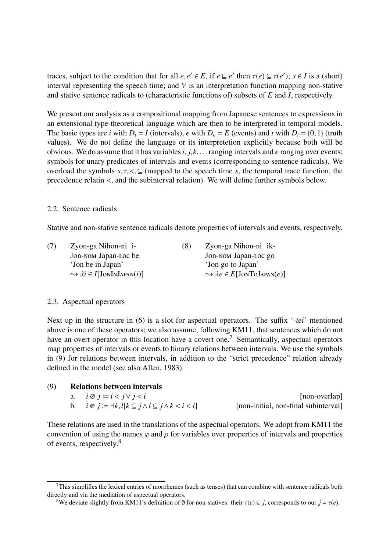traces, subject to the condition that for all  $e, e' \in E$ , if  $e \subseteq e'$  then  $\tau(e) \subseteq \tau(e')$ ;  $s \in I$  is a (short) interval representing the speech time; and *V* is an interpretation function mapping pop-stative interval representing the speech time; and *V* is an interpretation function mapping non-stative and stative sentence radicals to (characteristic functions of) subsets of *E* and *I*, respectively.

We present our analysis as a compositional mapping from Japanese sentences to expressions in an extensional type-theoretical language which are then to be interpreted in temporal models. The basic types are *i* with  $D_i = I$  (intervals),  $\epsilon$  with  $D_{\epsilon} = E$  (events) and *t* with  $D_t = \{0, 1\}$  (truth values). We do not define the language or its interpretetion explicitly because both will be obvious. We do assume that it has variables*i*, *<sup>j</sup>*, *<sup>k</sup>*,... ranging intervals and *<sup>e</sup>* ranging over events; symbols for unary predicates of intervals and events (corresponding to sentence radicals). We overload the symbols  $s, \tau, \leq \subseteq$  (mapped to the speech time *s*, the temporal trace function, the precedence relatin <, and the subinterval relation). We will define further symbols below.

#### 2.2. Sentence radicals

Stative and non-stative sentence radicals denote properties of intervals and events, respectively.

| (7) | Zyon-ga Nihon-ni i-                                    | (8) | Zyon-ga Nihon-ni ik-                                       |
|-----|--------------------------------------------------------|-----|------------------------------------------------------------|
|     | Jon-NOM Japan-Loc be                                   |     | Jon-NOM Japan-Loc go                                       |
|     | 'Jon be in Japan'                                      |     | 'Jon go to Japan'                                          |
|     | $\rightarrow \lambda i \in I$ [JONINJAPAN( <i>i</i> )] |     | $\rightsquigarrow$ $\lambda e \in E[\text{JonTolAPAN}(e)]$ |
|     |                                                        |     |                                                            |

#### 2.3. Aspectual operators

Next up in the structure in (6) is a slot for aspectual operators. The suffix '-tei' mentioned above is one of these operators; we also assume, following KM11, that sentences which do not have an overt operator in this location have a covert one.<sup>7</sup> Semantically, aspectual operators map properties of intervals or events to binary relations between intervals. We use the symbols in (9) for relations between intervals, in addition to the "strict precedence" relation already defined in the model (see also Allen, 1983).

| (9) | <b>Relations between intervals</b>                                     |                                      |  |  |
|-----|------------------------------------------------------------------------|--------------------------------------|--|--|
|     | a. $i \otimes j := i < j \vee j < i$                                   | [non-overlap]                        |  |  |
|     | b. $i \in j := \exists k, l \in j \land l \subseteq j \land k < i < l$ | [non-initial, non-final subinterval] |  |  |

These relations are used in the translations of the aspectual operators. We adopt from KM11 the convention of using the names  $\varphi$  and  $\rho$  for variables over properties of intervals and properties of events, respectively.<sup>8</sup>

 $7$ This simplifies the lexical entries of morphemes (such as tenses) that can combine with sentence radicals both directly and via the mediation of aspectual operators.

<sup>&</sup>lt;sup>8</sup>We deviate slightly from KM11's definition of Ø for non-statives: their  $\tau(e) \subseteq j$ , corresponds to our  $j = \tau(e)$ .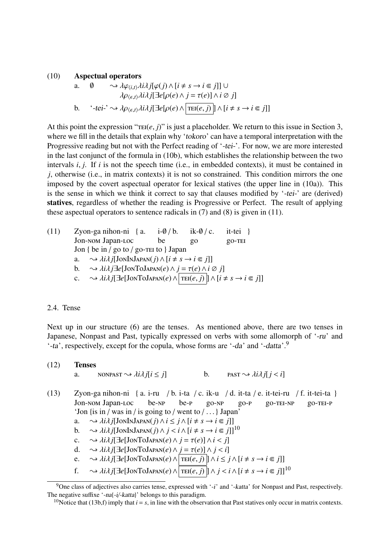#### (10) Aspectual operators

a. 
$$
\emptyset \longrightarrow \lambda \varphi_{\langle i,t \rangle} \lambda i \lambda j [\varphi(j) \wedge [i \neq s \rightarrow i \in j]] \cup
$$
  
\n $\lambda \rho_{\langle \epsilon, t \rangle} \lambda i \lambda j [\exists e [\rho(e) \wedge j = \tau(e)] \wedge i \oslash j]$   
\nb.  $\langle -tei \cdot \rangle \rightsquigarrow \lambda \rho_{\langle \epsilon, t \rangle} \lambda i \lambda j [\exists e [\rho(e) \wedge \boxed{\text{TEI}(e, j)}] \wedge [i \neq s \rightarrow i \in j]]$ 

At this point the expression " $\text{TEI}(e, j)$ " is just a placeholder. We return to this issue in Section 3, where we fill in the details that explain why 'tokoro' can have a temporal interpretation with the Progressive reading but not with the Perfect reading of '-tei-'. For now, we are more interested in the last conjunct of the formula in (10b), which establishes the relationship between the two intervals *<sup>i</sup>*, *<sup>j</sup>*. If *<sup>i</sup>* is not the speech time (i.e., in embedded contexts), it must be contained in *j*, otherwise (i.e., in matrix contexts) it is not so constrained. This condition mirrors the one imposed by the covert aspectual operator for lexical statives (the upper line in (10a)). This is the sense in which we think it correct to say that clauses modified by '-tei-' are (derived) statives, regardless of whether the reading is Progressive or Perfect. The result of applying these aspectual operators to sentence radicals in (7) and (8) is given in (11).

(11) Zyon-ga nihon-ni {a. i-
$$
\emptyset
$$
/b. ik- $\emptyset$ /c. it-tei }  
Jon-nom Japan-LOC be go go-TEI  
Jon { be in / go to / go-TEI to } Japan  
a. ∼  $\lambda i\lambda j$ [JONINJAPAN(*j*) ∧ [*i* ≠ *s* → *i* ∈ *j*]]  
b. ∼  $\lambda i\lambda j$ ∃e[JonTOJAPAN(*e*) ∧ *j* = τ(*e*) ∧ *i* ⊗ *j*]  
c. ∼  $\lambda i\lambda j$ [∃e[JonTOJAPAN(*e*) ∧ [TEI(*e*, *j*)] ∧ [*i* ≠ *s* → *i* ∈ *j*]]

#### 2.4. Tense

Next up in our structure (6) are the tenses. As mentioned above, there are two tenses in Japanese, Nonpast and Past, typically expressed on verbs with some allomorph of '-ru' and '-ta', respectively, except for the copula, whose forms are '-da' and '-datta'.<sup>9</sup>

### (12) Tenses

a. 
$$
NONPAST \rightsquigarrow \lambda i \lambda j[i \leq j]
$$
 b.  $PAST \rightsquigarrow \lambda i \lambda j[j < i]$ 

- (13) Zyon-ga nihon-ni { a. i-ru / b. i-ta / c. ik-u / d. it-ta / e. it-tei-ru / f. it-tei-ta } Jon-nom Japan-loc be-np be-p go-np go-p go-tei-np go-tei-p 'Jon {is in / was in / is going to / went to / . . .} Japan'
	- a.  $\sim \lambda i \lambda j$ [JonInJapan(*j*)∧*i* ≤ *j*∧[*i* ≠ *s* → *i* ∈ *j*]]<br>b.  $\sim \lambda i \lambda j$ [JonInJapan(*j*)∧ *j* < *i* ∧[*i* ≠ *s* → *i* ∈ *j*]]
	- $\rightarrow$   $\lambda i\lambda j$ [JonInJapan(*j*)  $\wedge j < i \wedge [i \neq s \rightarrow i \in j]$ ]<sup>10</sup>
	- c.  $\rightsquigarrow \lambda i \lambda j[\exists e[\text{JonToJAPAN}(e) \land j = \tau(e)] \land i < j]$
	- d.  $\sim \lambda i \lambda j$ [ $\exists e$ [JonToJapan(*e*)  $\land j = \tau(e)$ ]  $\land j < i$ ]<br>e.  $\sim \lambda i \lambda j$ [ $\exists e$ [JonToJapan(*e*)  $\land$ [ $\tau$ EI(*e, j*)]  $\land i \leq j$
	- e.  $\sim \lambda i \lambda j$ [∃*e*[JonToJapan(*e*)∧  $\boxed{\text{TEI}(e, j)}$ ]∧ $i \le j \land [i \ne s \rightarrow i \in j]$ ]
	- f.  $\longrightarrow \lambda i \lambda j[\exists e[\text{JonToJapan}(e) \land \boxed{\text{TEI}(e, j)}] \land j < i \land [i \neq s \rightarrow i \in j]]^{10}$

 $9$ One class of adjectives also carries tense, expressed with '-i' and '-katta' for Nonpast and Past, respectively. The negative suffixe '-na{-i/-katta}' belongs to this paradigm.

<sup>&</sup>lt;sup>10</sup>Notice that (13b,f) imply that  $i = s$ , in line with the observation that Past statives only occur in matrix contexts.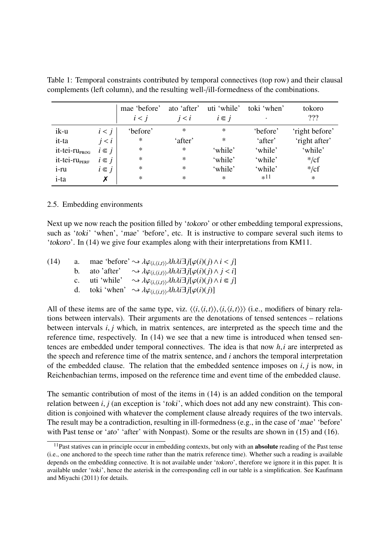|                           |           | mae 'before'<br>i < j | ato 'after'<br>i < i | uti 'while'<br>$i \in j$ | toki 'when'<br>٠ | tokoro<br>222  |
|---------------------------|-----------|-----------------------|----------------------|--------------------------|------------------|----------------|
| ik-u                      | i < j     | 'before'              | $\ast$               | $\ast$                   | 'before'         | 'right before' |
| it-ta                     | i < i     | ∗                     | 'after'              | ∗                        | 'after'          | 'right after'  |
| it-tei-ru <sub>prog</sub> | $i \in j$ | $\ast$                | $\ast$               | 'while'                  | 'while'          | 'while'        |
| it-tei-ru <sub>pERF</sub> | $i \in j$ | $\ast$                | $\ast$               | 'while'                  | 'while'          | $\frac{*}{cf}$ |
| $1-TU$                    | $i \in j$ | $\ast$                | $\ast$               | 'while'                  | 'while'          | $\frac{*}{cf}$ |
| i-ta                      | X         | $\ast$                | $\ast$               | $\ast$                   | $*11$            | $\ast$         |

Table 1: Temporal constraints contributed by temporal connectives (top row) and their clausal complements (left column), and the resulting well-/ill-formedness of the combinations.

#### 2.5. Embedding environments

Next up we now reach the position filled by 'tokoro' or other embedding temporal expressions, such as 'toki' 'when', 'mae' 'before', etc. It is instructive to compare several such items to 'tokoro'. In (14) we give four examples along with their interpretations from KM11.

| (14) |             |             | a. mae 'before' $\rightsquigarrow \lambda \varphi_{\langle i, \langle i, t \rangle} \lambda h \lambda i \exists j [\varphi(i)(j) \wedge i \langle j]$ |
|------|-------------|-------------|-------------------------------------------------------------------------------------------------------------------------------------------------------|
|      | $h_{\cdot}$ | ato 'after' | $\rightarrow \lambda \varphi_{\langle i, \langle i, t \rangle \rangle} \lambda h \lambda i \exists j [\varphi(i)(j) \wedge j < i]$                    |
|      | $c_{\cdot}$ | uti 'while' | $\rightarrow \lambda \varphi_{\langle i, \langle i, t \rangle \rangle} \lambda h \lambda i \exists j [\varphi(i)(j) \wedge i \in j]$                  |
|      | d.          |             | toki 'when' $\rightsquigarrow \lambda \varphi_{\langle i, \langle i, t \rangle \rangle} \lambda h \lambda i \exists j [\varphi(i)(j)]$                |
|      |             |             |                                                                                                                                                       |

All of these items are of the same type, viz.  $\langle \langle i, \langle i, t \rangle \rangle, \langle i, \langle i, t \rangle \rangle \rangle$  (i.e., modifiers of binary relations between intervals). Their arguments are the denotations of tensed sentences – relations between intervals *<sup>i</sup>*, *<sup>j</sup>* which, in matrix sentences, are interpreted as the speech time and the reference time, respectively. In (14) we see that a new time is introduced when tensed sentences are embedded under temporal connectives. The idea is that now *<sup>h</sup>*,*<sup>i</sup>* are interpreted as the speech and reference time of the matrix sentence, and *i* anchors the temporal interpretation of the embedded clause. The relation that the embedded sentence imposes on *<sup>i</sup>*, *<sup>j</sup>* is now, in Reichenbachian terms, imposed on the reference time and event time of the embedded clause.

The semantic contribution of most of the items in (14) is an added condition on the temporal relation between *i*, *j* (an exception is 'toki', which does not add any new constraint). This condition is conjoined with whatever the complement clause already requires of the two intervals. The result may be a contradiction, resulting in ill-formedness (e.g., in the case of 'mae' 'before' with Past tense or 'ato' 'after' with Nonpast). Some or the results are shown in (15) and (16).

<sup>&</sup>lt;sup>11</sup>Past statives can in principle occur in embedding contexts, but only with an **absolute** reading of the Past tense (i.e., one anchored to the speech time rather than the matrix reference time). Whether such a reading is available depends on the embedding connective. It is not available under 'tokoro', therefore we ignore it in this paper. It is available under 'toki', hence the asterisk in the corresponding cell in our table is a simplification. See Kaufmann and Miyachi (2011) for details.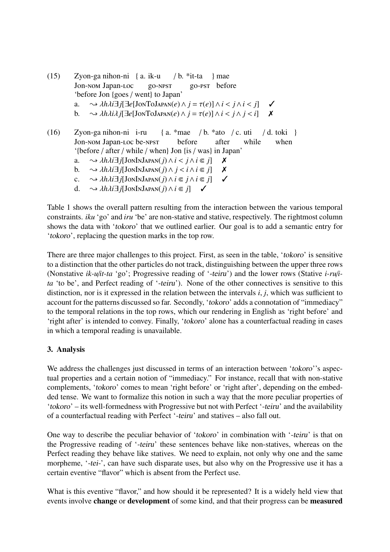- (15) Zyon-ga nihon-ni { a. ik-u Jon-nom Japan-loc go-npst  $/b.$  \*it-ta go-pst before } mae 'before Jon {goes / went} to Japan' a.  $\rightarrow \lambda h \lambda i \exists j [\exists e [J \text{on} \text{Tol} \text{A}\text{PAN}(e) \land j = \tau(e)] \land i < j \land i < j$ ]  $\checkmark$ <br>b.  $\rightarrow \lambda h \lambda i \lambda i [\exists e [J \text{on} \text{Tol} \text{A}\text{PAN}(e) \land i = \tau(e)] \land i < i \land i < i$  $\rightarrow$   $\lambda h \lambda i \lambda j$ [ $\exists e$ [JonToJapan(*e*)  $\land$   $j = \tau(e)$ ]  $\land$   $i < j \land j < i$ ]
- (16) Zyon-ga nihon-ni i-ru Jon-Nom Japan-Loc be-NPST { a. \*mae / b. \*ato / c. uti before after while / d. toki } when '{before / after / while / when} Jon {is / was} in Japan'
	- a.  $\rightarrow \lambda h \lambda i \exists j [JonInJapan(j) \wedge i < j \wedge i \in j]$  **X**<br>b.  $\rightarrow \lambda h \lambda i \exists j [JonInJapan(j) \wedge i < i \wedge i \in j]$  **X**
	- b.  $\sim \lambda h \lambda i \exists j [JonInJAPAN(j) \land j < i \land i \in j]$  **X**<br>c.  $\sim \lambda h \lambda i \exists j [JonInJAPAN(j) \land i \in j \land i \in j]$  /
	- c.  $\sim \lambda h \lambda i \exists j [JonInJAPAN(j) \land i \in j \land i \in j]$ <br>d.  $\sim \lambda h \lambda i \exists i [JonInJAPAN(i) \land i \in i]$
	- $\rightarrow$   $\lambda h \lambda i \exists j$ [JonInJapan(*j*)∧*i* ∈ *j*]  $\checkmark$

Table 1 shows the overall pattern resulting from the interaction between the various temporal constraints. *iku* 'go' and *iru* 'be' are non-stative and stative, respectively. The rightmost column shows the data with 'tokoro' that we outlined earlier. Our goal is to add a semantic entry for 'tokoro', replacing the question marks in the top row.

There are three major challenges to this project. First, as seen in the table, 'tokoro' is sensitive to a distinction that the other particles do not track, distinguishing between the upper three rows (Nonstative *ik-u*/*it-ta* 'go'; Progressive reading of '-teiru') and the lower rows (Stative *i-ru*/*ita* 'to be', and Perfect reading of '-teiru'). None of the other connectives is sensitive to this distinction, nor is it expressed in the relation between the intervals *<sup>i</sup>*, *<sup>j</sup>*, which was sufficient to account for the patterns discussed so far. Secondly, 'tokoro' adds a connotation of "immediacy" to the temporal relations in the top rows, which our rendering in English as 'right before' and 'right after' is intended to convey. Finally, 'tokoro' alone has a counterfactual reading in cases in which a temporal reading is unavailable.

# 3. Analysis

We address the challenges just discussed in terms of an interaction between 'tokoro''s aspectual properties and a certain notion of "immediacy." For instance, recall that with non-stative complements, 'tokoro' comes to mean 'right before' or 'right after', depending on the embedded tense. We want to formalize this notion in such a way that the more peculiar properties of 'tokoro' – its well-formedness with Progressive but not with Perfect '-teiru' and the availability of a counterfactual reading with Perfect '-teiru' and statives – also fall out.

One way to describe the peculiar behavior of 'tokoro' in combination with '-teiru' is that on the Progressive reading of '-teiru' these sentences behave like non-statives, whereas on the Perfect reading they behave like statives. We need to explain, not only why one and the same morpheme, '-tei-', can have such disparate uses, but also why on the Progressive use it has a certain eventive "flavor" which is absent from the Perfect use.

What is this eventive "flavor," and how should it be represented? It is a widely held view that events involve change or development of some kind, and that their progress can be measured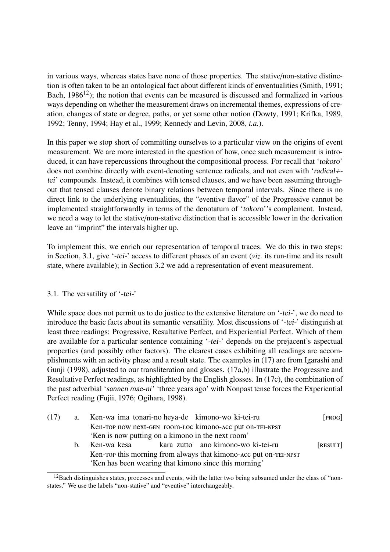in various ways, whereas states have none of those properties. The stative/non-stative distinction is often taken to be an ontological fact about different kinds of enventualities (Smith, 1991; Bach,  $1986^{12}$ ); the notion that events can be measured is discussed and formalized in various ways depending on whether the measurement draws on incremental themes, expressions of creation, changes of state or degree, paths, or yet some other notion (Dowty, 1991; Krifka, 1989, 1992; Tenny, 1994; Hay et al., 1999; Kennedy and Levin, 2008, *i.a.*).

In this paper we stop short of committing ourselves to a particular view on the origins of event measurement. We are more interested in the question of how, once such measurement is introduced, it can have repercussions throughout the compositional process. For recall that 'tokoro' does not combine directly with event-denoting sentence radicals, and not even with 'radical+ tei' compounds. Instead, it combines with tensed clauses, and we have been assuming throughout that tensed clauses denote binary relations between temporal intervals. Since there is no direct link to the underlying eventualities, the "eventive flavor" of the Progressive cannot be implemented straightforwardly in terms of the denotatum of 'tokoro''s complement. Instead, we need a way to let the stative/non-stative distinction that is accessible lower in the derivation leave an "imprint" the intervals higher up.

To implement this, we enrich our representation of temporal traces. We do this in two steps: in Section, 3.1, give '-tei-' access to different phases of an event (*viz.* its run-time and its result state, where available); in Section 3.2 we add a representation of event measurement.

# 3.1. The versatility of '-tei-'

While space does not permit us to do justice to the extensive literature on '-tei-', we do need to introduce the basic facts about its semantic versatility. Most discussions of '-tei-' distinguish at least three readings: Progressive, Resultative Perfect, and Experiential Perfect. Which of them are available for a particular sentence containing '-tei-' depends on the prejacent's aspectual properties (and possibly other factors). The clearest cases exhibiting all readings are accomplishments with an activity phase and a result state. The examples in (17) are from Igarashi and Gunji (1998), adjusted to our transliteration and glosses. (17a,b) illustrate the Progressive and Resultative Perfect readings, as highlighted by the English glosses. In (17c), the combination of the past adverbial 'sannen mae-ni' 'three years ago' with Nonpast tense forces the Experiential Perfect reading (Fujii, 1976; Ogihara, 1998).

| (17) |    | a. Ken-wa ima tonari-no heya-de kimono-wo ki-tei-ru                                                           |                                                | [PROG]   |  |  |  |
|------|----|---------------------------------------------------------------------------------------------------------------|------------------------------------------------|----------|--|--|--|
|      |    | Ken-rop now next-GEN room-Loc kimono-ACC put on-TEI-NPST<br>'Ken is now putting on a kimono in the next room' |                                                |          |  |  |  |
|      |    |                                                                                                               |                                                |          |  |  |  |
|      | b. |                                                                                                               | Ken-wa kesa kara zutto ano kimono-wo ki-tei-ru | [RESULT] |  |  |  |
|      |    | Ken-rop this morning from always that kimono-ACC put on-TEI-NPST                                              |                                                |          |  |  |  |
|      |    | 'Ken has been wearing that kimono since this morning'                                                         |                                                |          |  |  |  |

<sup>&</sup>lt;sup>12</sup>Bach distinguishes states, processes and events, with the latter two being subsumed under the class of "nonstates." We use the labels "non-stative" and "eventive" interchangeably.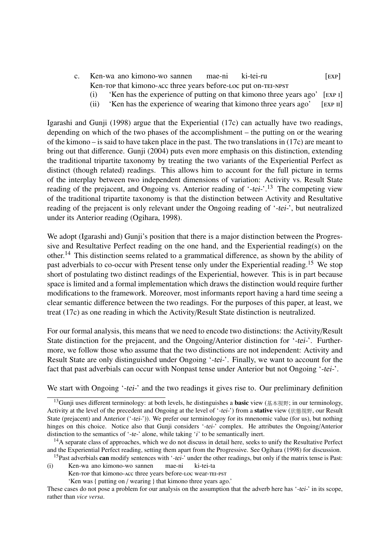- c. Ken-wa ano kimono-wo sannen Ken-rop that kimono-acc three years before-Loc put on-TEI-NPST mae-ni ki-tei-ru  $[EXP]$ 
	- (i) 'Ken has the experience of putting on that kimono three years ago' [exp ı]
	- (ii) 'Ken has the experience of wearing that kimono three years ago' [exp ıı]

Igarashi and Gunji (1998) argue that the Experiential (17c) can actually have two readings, depending on which of the two phases of the accomplishment – the putting on or the wearing of the kimono – is said to have taken place in the past. The two translations in (17c) are meant to bring out that difference. Gunji (2004) puts even more emphasis on this distinction, extending the traditional tripartite taxonomy by treating the two variants of the Experiential Perfect as distinct (though related) readings. This allows him to account for the full picture in terms of the interplay between two independent dimensions of variation: Activity vs. Result State reading of the prejacent, and Ongoing vs. Anterior reading of  $\div$ tei- $\cdot$ <sup>13</sup>. The competing view of the traditional tripartite taxonomy is that the distinction between Activity and Resultative reading of the prejacent is only relevant under the Ongoing reading of '-tei-', but neutralized under its Anterior reading (Ogihara, 1998).

We adopt (Igarashi and) Gunji's position that there is a major distinction between the Progressive and Resultative Perfect reading on the one hand, and the Experiential reading(s) on the other.<sup>14</sup> This distinction seems related to a grammatical difference, as shown by the ability of past adverbials to co-occur with Present tense only under the Experiential reading.<sup>15</sup> We stop short of postulating two distinct readings of the Experiential, however. This is in part because space is limited and a formal implementation which draws the distinction would require further modifications to the framework. Moreover, most informants report having a hard time seeing a clear semantic difference between the two readings. For the purposes of this paper, at least, we treat (17c) as one reading in which the Activity/Result State distinction is neutralized.

For our formal analysis, this means that we need to encode two distinctions: the Activity/Result State distinction for the prejacent, and the Ongoing/Anterior distinction for '-tei-'. Furthermore, we follow those who assume that the two distinctions are not independent: Activity and Result State are only distinguished under Ongoing '-tei-'. Finally, we want to account for the fact that past adverbials can occur with Nonpast tense under Anterior but not Ongoing '-tei-'.

We start with Ongoing '-tei-' and the two readings it gives rise to. Our preliminary definition

Ken-top that kimono-acc three years before-loc wear-tei-pst

'Ken was { putting on / wearing } that kimono three years ago.'

<sup>&</sup>lt;sup>13</sup>Gunji uses different terminology: at both levels, he distinguishes a **basic** view (基本視野; in our terminology, Activity at the level of the precedent and Ongoing at the level of '-tei-') from a **stative** view (状態視野, our Result State (prejacent) and Anterior ('-tei-')). We prefer our terminologoy for its mnenomic value (for us), but nothing hinges on this choice. Notice also that Gunji considers '-tei-' complex. He attributes the Ongoing/Anterior distinction to the semantics of '-te-' alone, while taking 'i' to be semantically inert.

 $<sup>14</sup>A$  separate class of approaches, which we do not discuss in detail here, seeks to unify the Resultative Perfect</sup> and the Experiential Perfect reading, setting them apart from the Progressive. See Ogihara (1998) for discussion.

<sup>&</sup>lt;sup>15</sup>Past adverbials can modify sentences with '-tei-' under the other readings, but only if the matrix tense is Past: (i) Ken-wa ano kimono-wo sannen mae-ni ki-tei-ta

These cases do not pose a problem for our analysis on the assumption that the adverb here has '-tei-' in its scope, rather than *vice versa*.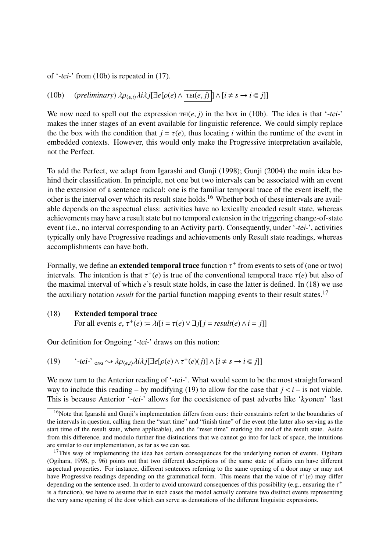of '-tei-' from (10b) is repeated in (17).

(10b) (*preliminary*)  $\lambda \rho_{\langle \epsilon, t \rangle} \lambda i \lambda j[\exists e[\rho(e) \wedge \overline{\text{TEI}(e, j)}] \wedge [i \neq s \rightarrow i \in j]]$ 

We now need to spell out the expression  $\text{TEI}(e, j)$  in the box in (10b). The idea is that '-tei-' makes the inner stages of an event available for linguistic reference. We could simply replace the the box with the condition that  $j = \tau(e)$ , thus locating *i* within the runtime of the event in embedded contexts. However, this would only make the Progressive interpretation available, not the Perfect.

To add the Perfect, we adapt from Igarashi and Gunji (1998); Gunji (2004) the main idea behind their classification. In principle, not one but two intervals can be associated with an event in the extension of a sentence radical: one is the familiar temporal trace of the event itself, the other is the interval over which its result state holds.<sup>16</sup> Whether both of these intervals are available depends on the aspectual class: activities have no lexically encoded result state, whereas achievements may have a result state but no temporal extension in the triggering change-of-state event (i.e., no interval corresponding to an Activity part). Consequently, under '-tei-', activities typically only have Progressive readings and achievements only Result state readings, whereas accomplishments can have both.

Formally, we define an **extended temporal trace** function  $\tau^+$  from events to sets of (one or two) intervals. The intention is that  $\tau^+(\rho)$  is true of the conventional temporal trace  $\tau(\rho)$  but also of intervals. The intention is that  $\tau^+(e)$  is true of the conventional temporal trace  $\tau(e)$  but also of the maximal interval of which e's result state holds, in case the latter is defined. In (18) we use the maximal interval of which *e*'s result state holds, in case the latter is defined. In (18) we use the auxiliary notation *result* for the partial function mapping events to their result states.<sup>17</sup>

#### (18) Extended temporal trace

For all events  $e, \tau^+(e) \coloneqq \lambda i[i = \tau(e) \vee \exists j[j = result(e) \wedge i = j]]$ 

Our definition for Ongoing '-tei-' draws on this notion:

(19) 
$$
`-tei`ons \rightsquigarrow \lambda \rho_{\langle \epsilon, t \rangle} \lambda i \lambda j[\exists e[\rho(e) \wedge \tau^+(e)(j)] \wedge [i \neq s \rightarrow i \in j]]
$$

We now turn to the Anterior reading of '-tei-'. What would seem to be the most straightforward way to include this reading – by modifying (19) to allow for the case that  $j < i$  – is not viable. This is because Anterior '-tei-' allows for the coexistence of past adverbs like 'kyonen' 'last

<sup>&</sup>lt;sup>16</sup>Note that Igarashi and Gunji's implementation differs from ours: their constraints refert to the boundaries of the intervals in question, calling them the "start time" and "finish time" of the event (the latter also serving as the start time of the result state, where applicable), and the "reset time" marking the end of the result state. Aside from this difference, and modulo further fine distinctions that we cannot go into for lack of space, the intuitions are similar to our implementation, as far as we can see.

 $17$ This way of implementing the idea has certain consequences for the underlying notion of events. Ogihara (Ogihara, 1998, p. 96) points out that two different descriptions of the same state of affairs can have different aspectual properties. For instance, different sentences referring to the same opening of a door may or may not have Progressive readings depending on the grammatical form. This means that the value of  $\tau^+(e)$  may differentian on the sentence used. In order to avoid untoward consequences of this possibility (e.g., ensuring the  $\tau$ depending on the sentence used. In order to avoid untoward consequences of this possibility (e.g., ensuring the  $\tau^+$ <br>is a function), we have to assume that in such cases the model actually contains two distinct events r is a function), we have to assume that in such cases the model actually contains two distinct events representing the very same opening of the door which can serve as denotations of the different linguistic expressions.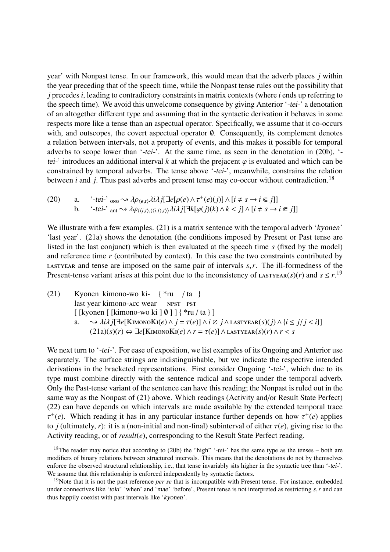year' with Nonpast tense. In our framework, this would mean that the adverb places *j* within the year preceding that of the speech time, while the Nonpast tense rules out the possibility that *j* precedes *i*, leading to contradictory constraints in matrix contexts (where *i* ends up referring to the speech time). We avoid this unwelcome consequence by giving Anterior '-tei-' a denotation of an altogether different type and assuming that in the syntactic derivation it behaves in some respects more like a tense than an aspectual operator. Specifically, we assume that it co-occurs with, and outscopes, the covert aspectual operator ∅. Consequently, its complement denotes a relation between intervals, not a property of events, and this makes it possible for temporal adverbs to scope lower than '-tei-'. At the same time, as seen in the denotation in (20b), 'tei-' introduces an additional interval *k* at which the prejacent  $\varphi$  is evaluated and which can be constrained by temporal adverbs. The tense above '-tei-', meanwhile, constrains the relation between *i* and *j*. Thus past adverbs and present tense may co-occur without contradiction.<sup>18</sup>

(20) a. 
$$
{}^{\cdot}
$$
-tei<sup>-</sup>  $\log \sim \lambda \rho_{\langle \epsilon, t \rangle} \lambda i \lambda j [\exists e [\rho(e) \land \tau^+(e)(j)] \land [i \neq s \rightarrow i \in j]]$   
b.  ${}^{\cdot}$ -tei<sup>-</sup>  $\text{ant} \sim \lambda \phi_{\langle \langle i, t \rangle, \langle \langle i, t \rangle, t \rangle} \lambda i \lambda j [\exists k [\varphi(j)(k) \land k < j] \land [i \neq s \rightarrow i \in j]]$ 

We illustrate with a few examples. (21) is a matrix sentence with the temporal adverb 'kyonen' 'last year'. (21a) shows the denotation (the conditions imposed by Present or Past tense are listed in the last conjunct) which is then evaluated at the speech time *s* (fixed by the model) and reference time *r* (contributed by context). In this case the two constraints contributed by lastyear and tense are imposed on the same pair of intervals *<sup>s</sup>*,*r*. The ill-formedness of the Present-tense variant arises at this point due to the inconsistency of LASTYEAR(s)(r) and  $s \le r$ .<sup>19</sup>

(21) Kyonen kimono-wo ki-{ \*ru / ta } last year kimono-acc wear npst pst [ [kyonen [ [kimono-wo ki ] ∅ ] ] { \*ru / ta } ] a.  $\rightarrow \lambda i\lambda j[\exists e[K_{\text{IMONO}}K_{\text{I}}(e) \wedge j = \tau(e)] \wedge i\emptyset j \wedge \text{LASTYEAR}(s)(j) \wedge \{i \leq j / j < i\}]$  $(21a)(s)(r) \Leftrightarrow \exists e[K_{\text{IMONO}}K_{\text{I}}(e) \wedge r = \tau(e)] \wedge \text{LASTYEAR}(s)(r) \wedge r < s$ 

We next turn to '-tei-'. For ease of exposition, we list examples of its Ongoing and Anterior use separately. The surface strings are indistinguishable, but we indicate the respective intended derivations in the bracketed representations. First consider Ongoing '-tei-', which due to its type must combine directly with the sentence radical and scope under the temporal adverb. Only the Past-tense variant of the sentence can have this reading; the Nonpast is ruled out in the same way as the Nonpast of (21) above. Which readings (Activity and/or Result State Perfect) (22) can have depends on which intervals are made available by the extended temporal trace to *j* (ultimately, *r*): it is a (non-initial and non-final) subinterval of either  $\tau(e)$ , giving rise to the <sup>+</sup>(e). Which reading it has in any particular instance further depends on how  $\tau^+(e)$  applies<br>a *i*(ultimately *r*); it is a (non-initial and non-final) subinterval of either  $\tau(e)$  giving rise to the Activity reading, or of *result(e)*, corresponding to the Result State Perfect reading.

<sup>&</sup>lt;sup>18</sup>The reader may notice that according to (20b) the "high" '-tei-' has the same type as the tenses – both are modifiers of binary relations between structured intervals. This means that the denotations do not by themselves enforce the observed structural relationship, i.e., that tense invariably sits higher in the syntactic tree than '-tei-'. We assume that this relationship is enforced independently by syntactic factors.

<sup>&</sup>lt;sup>19</sup>Note that it is not the past reference *per se* that is incompatible with Present tense. For instance, embedded under connectives like 'toki' 'when' and 'mae' 'before', Present tense is not interpreted as restricting *<sup>s</sup>*,*<sup>r</sup>* and can thus happily coexist with past intervals like 'kyonen'.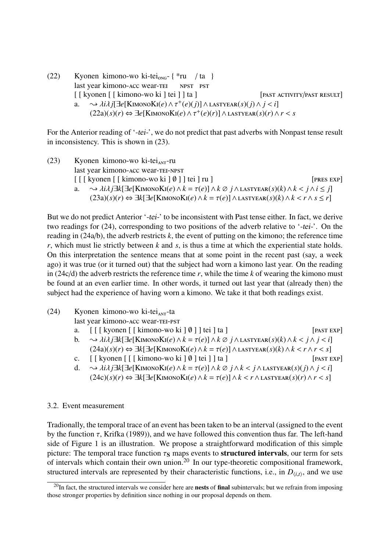(22) Kyonen kimono-wo ki-tei<sub>ong</sub>- $\{\n\text{*ru} \mid \text{ta}\n\}$ last year kimono-acc wear-tei npst pst [ [ kyonen [ [ kimono-wo ki ] tei ] ] ta ] [ PAST ACTIVITY/PAST RESULT] a.  $\rightarrow \lambda i \lambda j[\exists e[K_{\text{IMONOK}}(e) \wedge \tau^+(e)(j)] \wedge \text{LASTYEAR}(s)(j) \wedge j < i]$ <br>
(22a)(s)(r)  $\leftrightarrow \exists e[K_{\text{MONOK}}(e) \wedge \tau^+(e)(r)] \wedge \text{LASTYEAR}(s)(r) \wedge j$  $(22a)(s)(r) \Leftrightarrow \exists e[K$ IMONOKI $(e) \wedge \tau^+(e)(r)] \wedge$ LASTYEAR $(s)(r) \wedge r < s$ 

For the Anterior reading of '-tei-', we do not predict that past adverbs with Nonpast tense result in inconsistency. This is shown in (23).

 $(23)$  Kyonen kimono-wo ki-tei<sub>ANT</sub>-ru last year kimono-acc wear-tei-npst  $\lceil \int \lceil \frac{\text{kvonen} \lceil \text{kimono-wo ki} \rceil \varnothing \rceil}{\text{pres } \lceil \text{env} \rceil} \rceil$ a.  $\sim \lambda i\lambda j \exists k[\exists e[K_{\text{IMONO}}K_i(e) \wedge k = \tau(e)] \wedge k \oslash j \wedge \text{LASTVERR}(s)(k) \wedge k < j \wedge i \leq j]$ (23a)(*s*)(*r*) ⇔ ∃*k*[∃*e*[KimonoKi(*e*)∧*<sup>k</sup>* <sup>=</sup> τ(*e*)]∧lastyear(*s*)(*k*)∧*<sup>k</sup>* < *<sup>r</sup>*<sup>∧</sup> *<sup>s</sup>* <sup>≤</sup> *<sup>r</sup>*]

But we do not predict Anterior '-tei-' to be inconsistent with Past tense either. In fact, we derive two readings for (24), corresponding to two positions of the adverb relative to '-tei-'. On the reading in (24a/b), the adverb restricts *k*, the event of putting on the kimono; the reference time *r*, which must lie strictly between *k* and *s*, is thus a time at which the experiential state holds. On this interpretation the sentence means that at some point in the recent past (say, a week ago) it was true (or it turned out) that the subject had worn a kimono last year. On the reading in (24c/d) the adverb restricts the reference time *r*, while the time *k* of wearing the kimono must be found at an even earlier time. In other words, it turned out last year that (already then) the subject had the experience of having worn a kimono. We take it that both readings exist.

(24) Kyonen kimono-wo ki-tei<sub>ant</sub>-ta

last year kimono-acc wear-tei-pst

- a.  $\left[ \begin{array}{c} \begin{bmatrix} \end{bmatrix}$  [ kyonen  $\begin{bmatrix} \end{bmatrix}$  kimono-wo ki  $\begin{bmatrix} \emptyset \end{bmatrix}$  ] tei  $\begin{bmatrix} \end{bmatrix}$  ta  $\begin{bmatrix} \end{bmatrix}$  [past EXP]
- b.  $\rightarrow \lambda i\lambda j\exists k[\exists e[K_{IMONO}K_{I}(e) \wedge k = \tau(e)] \wedge k \oslash j \wedge \lambda x = r(s)[k] \wedge k < j \wedge j < i]$ (24a)(*s*)(*r*) ⇔ ∃*k*[∃*e*[KIMONOKI(*e*) ∧ *k* =  $\tau$ (*e*)] ∧ LASTYEAR(*s*)(*k*) ∧ *k* < *r* ∧ *r* < *s*]<br>[[kyonen [[[kimono-wo ki ] 0] tei [] ta ] [PAST EXP]
- c.  $\left[ \begin{array}{cc} \end{array} \right]$  [  $\left[ \begin{array}{c} \end{array} \right]$  kyonen  $\left[ \begin{array}{c} \end{array} \right]$   $\left[ \begin{array}{c} \end{array}$ kimono-wo ki  $\left[ \begin{array}{c} \theta \end{array} \right]$  tei  $\left[ \begin{array}{c} \end{array} \right]$
- d.  $\sim \lambda i\lambda j \exists k[\exists e[\text{KimonoK}i(e) \wedge k = \tau(e)] \wedge k \oslash j \wedge k < j \wedge \text{LASTYEAR}(s)(j) \wedge j < i]$ (24c)(*s*)(*r*) ⇔ ∃*k*[∃*e*[KimonoKi(*e*)∧*<sup>k</sup>* <sup>=</sup> τ(*e*)]∧*<sup>k</sup>* < *<sup>r</sup>*∧lastyear(*s*)(*r*)∧*<sup>r</sup>* < *<sup>s</sup>*]

#### 3.2. Event measurement

Tradionally, the temporal trace of an event has been taken to be an interval (assigned to the event by the function  $\tau$ , Krifka (1989)), and we have followed this convention thus far. The left-hand side of Figure 1 is an illustration. We propose a straightforward modification of this simple picture: The temporal trace function  $\tau_s$  maps events to **structured intervals**, our term for sets of intervals which contain their own union.<sup>20</sup> In our type-theoretic compositional framework, structured intervals are represented by their characteristic functions, i.e., in  $D_{\langle i,t \rangle}$ , and we use

 $^{20}$ In fact, the structured intervals we consider here are **nests** of **final** subintervals; but we refrain from imposing those stronger properties by definition since nothing in our proposal depends on them.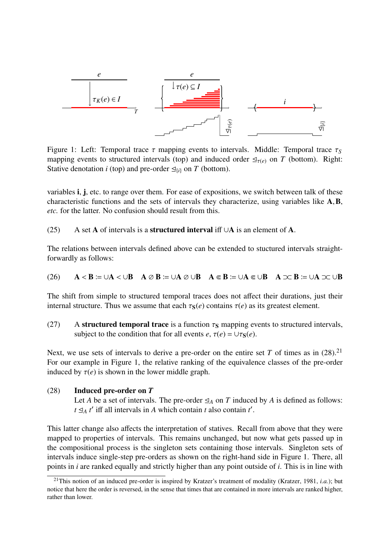

Figure 1: Left: Temporal trace  $\tau$  mapping events to intervals. Middle: Temporal trace  $\tau_s$ mapping events to structured intervals (top) and induced order  $\leq_{\tau(e)}$  on *T* (bottom). Right: Stative denotation *i* (top) and pre-order  $\leq_{i}$  on *T* (bottom).

variables i, j, etc. to range over them. For ease of expositions, we switch between talk of these characteristic functions and the sets of intervals they characterize, using variables like <sup>A</sup>,B, *etc.* for the latter. No confusion should result from this.

(25) A set A of intervals is a **structured interval** iff  $\cup$ A is an element of A.

The relations between intervals defined above can be extended to stuctured intervals straightforwardly as follows:

(26) 
$$
A < B := \cup A < \cup B
$$
  $A \oslash B := \cup A \oslash \cup B$   $A \Subset B := \cup A \Subset \cup B$   $A \simeq B := \cup A \simeq \cup B$ 

The shift from simple to structured temporal traces does not affect their durations, just their internal structure. Thus we assume that each  $\tau_s(e)$  contains  $\tau(e)$  as its greatest element.

(27) A structured temporal trace is a function  $\tau_s$  mapping events to structured intervals, subject to the condition that for all events  $e, \tau(e) = \cup \tau_{S}(e)$ .

Next, we use sets of intervals to derive a pre-order on the entire set T of times as in  $(28)$ .<sup>21</sup> For our example in Figure 1, the relative ranking of the equivalence classes of the pre-order induced by  $\tau(e)$  is shown in the lower middle graph.

#### (28) Induced pre-order on *T*

Let *A* be a set of intervals. The pre-order  $\leq_A$  on *T* induced by *A* is defined as follows:  $t \leq_A t'$  iff all intervals in *A* which contain *t* also contain *t'*.

This latter change also affects the interpretation of statives. Recall from above that they were mapped to properties of intervals. This remains unchanged, but now what gets passed up in the compositional process is the singleton sets containing those intervals. Singleton sets of intervals induce single-step pre-orders as shown on the right-hand side in Figure 1. There, all points in *i* are ranked equally and strictly higher than any point outside of *i*. This is in line with

<sup>21</sup>This notion of an induced pre-order is inspired by Kratzer's treatment of modality (Kratzer, 1981, *i.a.*); but notice that here the order is reversed, in the sense that times that are contained in more intervals are ranked higher, rather than lower.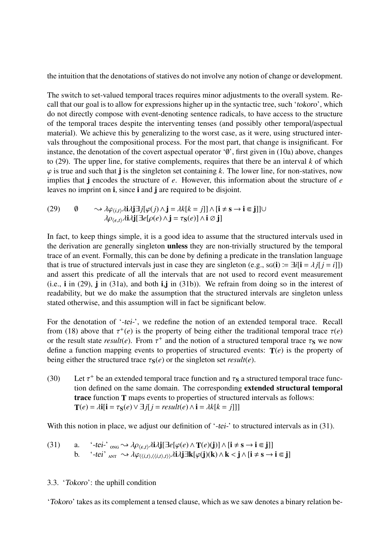the intuition that the denotations of statives do not involve any notion of change or development.

The switch to set-valued temporal traces requires minor adjustments to the overall system. Recall that our goal is to allow for expressions higher up in the syntactic tree, such 'tokoro', which do not directly compose with event-denoting sentence radicals, to have access to the structure of the temporal traces despite the interventing tenses (and possibly other temporal/aspectual material). We achieve this by generalizing to the worst case, as it were, using structured intervals throughout the compositional process. For the most part, that change is insignificant. For instance, the denotation of the covert aspectual operator '∅', first given in (10a) above, changes to (29). The upper line, for stative complements, requires that there be an interval *k* of which  $\varphi$  is true and such that j is the singleton set containing *k*. The lower line, for non-statives, now implies that j encodes the structure of *e*. However, this information about the structure of *e* leaves no imprint on i, since i and j are required to be disjoint.

(29) 
$$
\emptyset \longrightarrow \lambda \varphi_{\langle i,t \rangle} \lambda \mathbf{i} \lambda \mathbf{j} \exists j [\varphi(j) \wedge \mathbf{j} = \lambda k[k = j]] \wedge [\mathbf{i} \neq \mathbf{s} \rightarrow \mathbf{i} \in \mathbf{j}]] \cup \lambda \rho_{\langle \epsilon, t \rangle} \lambda \mathbf{i} \lambda \mathbf{j} [\exists e[\rho(e) \wedge \mathbf{j} = \tau_{\mathbf{S}}(e)] \wedge \mathbf{i} \oslash \mathbf{j}]
$$

In fact, to keep things simple, it is a good idea to assume that the structured intervals used in the derivation are generally singleton unless they are non-trivially structured by the temporal trace of an event. Formally, this can be done by defining a predicate in the translation language that is true of structured intervals just in case they are singleton (e.g., sq(**i**)  $\equiv \exists i[i = \lambda j[j = i]])$ and assert this predicate of all the intervals that are not used to record event measurement (i.e.,  $\mathbf{i}$  in (29),  $\mathbf{j}$  in (31a), and both  $\mathbf{i}$ , $\mathbf{j}$  in (31b)). We refrain from doing so in the interest of readability, but we do make the assumption that the structured intervals are singleton unless stated otherwise, and this assumption will in fact be significant below.

For the denotation of '-tei-', we redefine the notion of an extended temporal trace. Recall from (18) above that  $\tau^+(e)$  is the property of being either the traditional temporal trace  $\tau(e)$ <br>or the result state result(e). From  $\tau^+$  and the notion of a structured temporal trace  $\tau$ s we now or the result state  $result(e)$ . From  $\tau^+$  and the notion of a structured temporal trace  $\tau_s$  we now<br>define a function manning events to properties of structured events:  $T(e)$  is the property of define a function mapping events to properties of structured events:  $T(e)$  is the property of being either the structured trace  $\tau_s(e)$  or the singleton set *result*(*e*).

(30) Let  $\tau^+$  be an extended temporal trace function and  $\tau_s$  a structured temporal trace function defined on the same domain. The corresponding **extended structural temporal** tion defined on the same domain. The corresponding extended structural temporal trace function T maps events to properties of structured intervals as follows:  $\mathbf{T}(e) = \lambda \mathbf{i} \left[ \mathbf{i} = \tau_{\mathbf{S}}(e) \vee \exists j \right]$  *j* = *result*(*e*)  $\wedge \mathbf{i} = \lambda k[k = j]]$ 

With this notion in place, we adjust our definition of '-tei-' to structured intervals as in (31).

(31) a. 
$$
{}^{t}
$$
-tei<sup>-</sup>  $\underset{\text{ANT}}{\text{OS}} \rightsquigarrow \lambda \rho_{\langle \epsilon, t \rangle} \lambda \mathbf{i} \lambda \mathbf{j} [\exists e[\varphi(e) \land \mathbf{T}(e)(\mathbf{j})] \land [\mathbf{i} \neq \mathbf{s} \rightarrow \mathbf{i} \in \mathbf{j}]]$   
b.  ${}^{t}$ -tei<sup>+</sup>  $\underset{\text{ANT}}{\text{ON}} \rightsquigarrow \lambda \varphi_{\langle \langle i, t \rangle, \langle \langle i, t \rangle, t \rangle \rangle} \lambda \mathbf{i} \lambda \mathbf{j} \exists \mathbf{k} [\varphi(\mathbf{j})(\mathbf{k}) \land \mathbf{k} < \mathbf{j} \land [\mathbf{i} \neq \mathbf{s} \rightarrow \mathbf{i} \in \mathbf{j}]$ 

#### 3.3. 'Tokoro': the uphill condition

'Tokoro' takes as its complement a tensed clause, which as we saw denotes a binary relation be-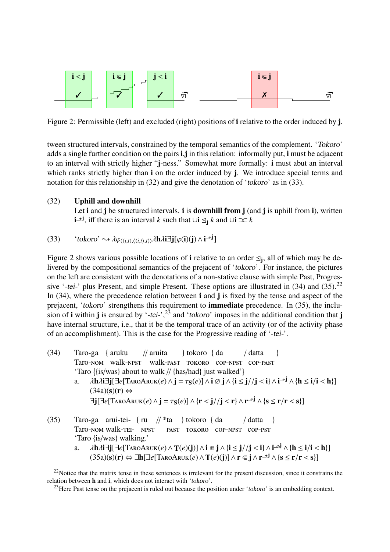

Figure 2: Permissible (left) and excluded (right) positions of **i** relative to the order induced by **j**.

tween structured intervals, constrained by the temporal semantics of the complement. 'Tokoro' adds a single further condition on the pairs i,j in this relation: informally put, i must be adjacent to an interval with strictly higher "j-ness." Somewhat more formally: i must abut an interval which ranks strictly higher than **i** on the order induced by j. We introduce special terms and notation for this relationship in (32) and give the denotation of 'tokoro' as in (33).

#### (32) Uphill and downhill

Let i and j be structured intervals. i is **downhill from**  $j$  (and  $j$  is uphill from  $i$ ), written **i**<sup>→j</sup>, iff there is an interval *k* such that ∪**i**  $\leq$ <sub>j</sub> *k* and ∪**i**  $\infty$  *k* 

(33) 'tokoro' 
$$
\sim \lambda \varphi_{\langle \langle i,t \rangle, \langle \langle i,t \rangle, t \rangle \rangle} \lambda \mathbf{h} \lambda \mathbf{i} \exists \mathbf{j} [\varphi(\mathbf{i})(\mathbf{j}) \wedge \mathbf{i} \neg \mathbf{j}]
$$

Figure 2 shows various possible locations of **i** relative to an order  $\leq j$ , all of which may be delivered by the compositional semantics of the prejacent of 'tokoro'. For instance, the pictures on the left are consistent with the denotations of a non-stative clause with simple Past, Progressive '-tei-' plus Present, and simple Present. These options are illustrated in  $(34)$  and  $(35)$ .<sup>22</sup> In (34), where the precedence relation between **i** and **j** is fixed by the tense and aspect of the prejacent, 'tokoro' strengthens this requirement to **immediate** precedence. In (35), the inclusion of **i** within **j** is ensured by '-tei-',<sup>23</sup> and 'tokoro' imposes in the additional condition that **j** have internal structure, i.e., that it be the temporal trace of an activity (or of the activity phase of an accomplishment). This is the case for the Progressive reading of '-tei-'.

- (34) Taro-ga { aruku Taro-nom walk-npst walk-past tokoro cop-npst cop-past // aruita } tokoro { da / datta } 'Taro {{is/was} about to walk // {has/had} just walked'}
	- a.  $\lambda \mathbf{h} \lambda \mathbf{i} \exists \mathbf{j} [\exists e [\text{Tr } \lambda \mathbf{r} \alpha \mathbf{A} \mathbf{r} \alpha \mathbf{r}](e) \wedge \mathbf{j} = \tau_{\mathbf{S}}(e)] \wedge \mathbf{i} \oslash \mathbf{j} \wedge {\mathbf{i} \leq \mathbf{j}} / \mathbf{j} < \mathbf{i} \} \wedge \mathbf{i} \neg \mathbf{j} \wedge {\mathbf{h} \leq \mathbf{i}} / \mathbf{i} < \mathbf{h}}]$  $(34a)(s)(r) \Leftrightarrow$  $\exists \mathbf{j}[\exists e[\text{TrroAruk}(e) \wedge \mathbf{j} = \tau_{\mathbf{S}}(e)] \wedge {\mathbf{r} < \mathbf{j}} / {\mathbf{j} < \mathbf{r}} \wedge {\mathbf{r}} \neg \mathbf{j} \wedge {\mathbf{s} \le \mathbf{r}} / {\mathbf{r} < \mathbf{s}}}]$
- (35) Taro-ga arui-tei-{ ru // \*ta } tokoro { da Taro-NOM walk-TEI- NPST PAST TOKORO COP-NPST COP-PST / datta } 'Taro {is/was} walking.'
	- a.  $\lambda h \lambda i \exists j [\exists e [T_{ARO} A_{RUK}(e) \wedge T(e)(j)] \wedge i \in j \wedge \{i \le j//j < i\} \wedge i^{-j} \wedge \{h \le i/i < h\}]$ <br>(353)(s)(r)  $\leftrightarrow \exists h [\exists e [T_{APO} A_{RUK}(e) \wedge T(e)(i)] \wedge r \in i \wedge r^{-j}] \wedge \{s < r/r < s\}]$  $(35a)(s)(r)$  ⇔ ∃h[∃e[TaroAruk $(e) \wedge T(e)(j)$ ] ∧  $r \in j \wedge r^{-j} \wedge {s \le r/r < s}$ ]

<sup>&</sup>lt;sup>22</sup>Notice that the matrix tense in these sentences is irrelevant for the present discussion, since it constrains the relation between h and i, which does not interact with 'tokoro'.

<sup>&</sup>lt;sup>23</sup>Here Past tense on the prejacent is ruled out because the position under 'tokoro' is an embedding context.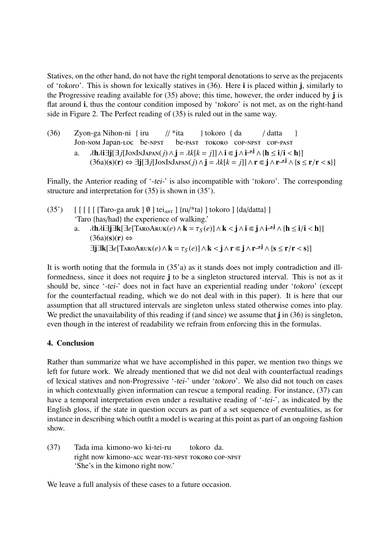Statives, on the other hand, do not have the right temporal denotations to serve as the prejacents of 'tokoro'. This is shown for lexically statives in (36). Here i is placed within j, similarly to the Progressive reading available for (35) above; this time, however, the order induced by j is flat around i, thus the contour condition imposed by 'tokoro' is not met, as on the right-hand side in Figure 2. The Perfect reading of (35) is ruled out in the same way.

(36) Zyon-ga Nihon-ni { iru Jon-nom Japan-loc be-npst  $// *ita$ be-past tokoro cop-npst cop-past } tokoro { da / datta } a.  $\lambda \mathbf{h} \lambda \mathbf{i} \exists \mathbf{j} [\exists j [\text{JonInJapan}(j) \land \mathbf{j} = \lambda k[k = j]] \land \mathbf{i} \in \mathbf{j} \land \mathbf{i} \neg \mathbf{j} \land \{\mathbf{h} \leq \mathbf{i}/\mathbf{i} < \mathbf{h}\}]$ <br>(36a)(s)(r)  $\leftrightarrow$   $\exists \mathbf{i} [\exists j [\text{onInJapan}(j) \land \mathbf{i} = \lambda k[k = j]] \land \mathbf{r} \in \mathbf{i} \land \mathbf{r} \neg \mathbf{j} \land \{\mathbf{s}\}]$  $(36a)(s)(r)$  ⇔  $\exists j[\exists j[JohnInJAPAN(j) \land j = \lambda k[k = j]] \land r \subseteq j \land r \neg j \land {s \le r/r < s}]$ 

Finally, the Anterior reading of '-tei-' is also incompatible with 'tokoro'. The corresponding structure and interpretation for (35) is shown in (35').

(35')  $\left[\right[\right]\left[\right]\left[\right]$  [  $\left[\right]$  [  $\left[\right]$  [Taro-ga aruk  $\left]\emptyset\right]$  tei<sub>ANT</sub>  $\left[\right]$  {ru/\*ta}  $\left[\right]$  tokoro  $\left[\right]$  {da/datta}  $\left[\right]$ 'Taro {has/had} the experience of walking.' a.  $\lambda \mathbf{h} \lambda \mathbf{i} \exists \mathbf{j} \exists \mathbf{k} [\exists e [\text{TraoAruk}(e) \wedge \mathbf{k} = \tau_S(e)] \wedge \mathbf{k} < \mathbf{j} \wedge \mathbf{i} \in \mathbf{j} \wedge \mathbf{i} \neg \mathbf{j} \wedge {\mathbf{h} \leq \mathbf{i}/\mathbf{i} < \mathbf{h}}]$ <br>(363)(s)(r)  $(36a)(s)(r) \Leftrightarrow$  $\exists j \exists k [\exists e [T_{ARO} \text{Aruk}(e) ∧ k = \tau_S(e)] ∧ k < j ∧ r \in j ∧ r$  ↑ {s ≤ r/r < s}]

It is worth noting that the formula in (35'a) as it stands does not imply contradiction and illformedness, since it does not require j to be a singleton structured interval. This is not as it should be, since '-tei-' does not in fact have an experiential reading under 'tokoro' (except for the counterfactual reading, which we do not deal with in this paper). It is here that our assumption that all structured intervals are singleton unless stated otherwise comes into play. We predict the unavailability of this reading if (and since) we assume that j in (36) is singleton, even though in the interest of readability we refrain from enforcing this in the formulas.

# 4. Conclusion

Rather than summarize what we have accomplished in this paper, we mention two things we left for future work. We already mentioned that we did not deal with counterfactual readings of lexical statives and non-Progressive '-tei-' under 'tokoro'. We also did not touch on cases in which contextually given information can rescue a temporal reading. For instance, (37) can have a temporal interpretation even under a resultative reading of '-tei-', as indicated by the English gloss, if the state in question occurs as part of a set sequence of eventualities, as for instance in describing which outfit a model is wearing at this point as part of an ongoing fashion show.

 $(37)$ right now kimono-acc wear-tei-npst tokoro cop-npst ima kimono-wo ki-tei-ru tokoro da. 'She's in the kimono right now.'

We leave a full analysis of these cases to a future occasion.